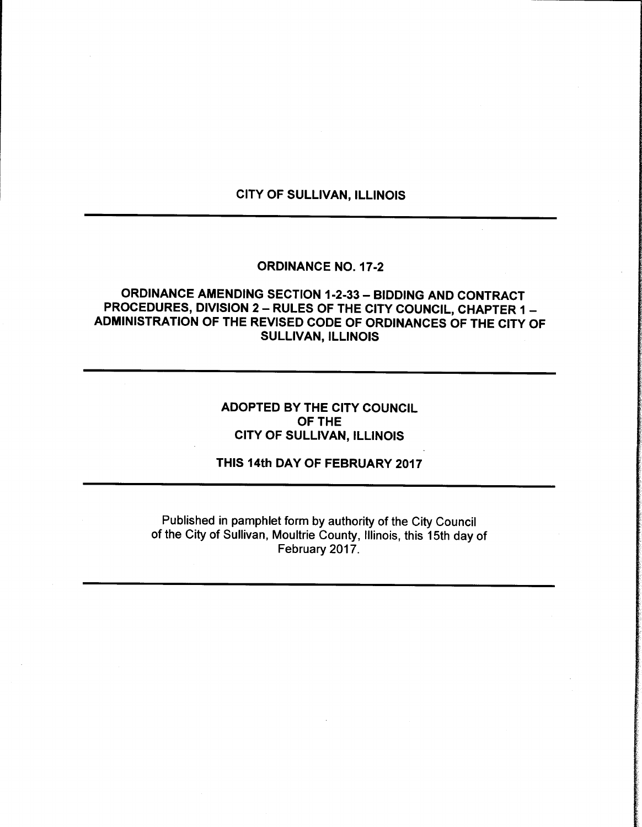## CITY OF SULLIVAN, ILLINOIS

### ORDINANCE NO. 17-2

# ORDINANCE AMENDING SECTION 1-2-33 - BIDDING AND CONTRACT PROCEDURES, DIVISION 2— RULES OF THE CITY COUNCIL, CHAPTER 1 — ADMINISTRATION OF THE REVISED CODE OF ORDINANCES OF THE CITY OF SULLIVAN, ILLINOIS

# ADOPTED BY THE CITY COUNCIL OF THE CITY OF SULLIVAN, ILLINOIS

#### THIS 14th DAY OF FEBRUARY 2017

Published in pamphlet form by authority of the City Council of the City of Sullivan, Moultrie County, Illinois, this 15th day of February 2017.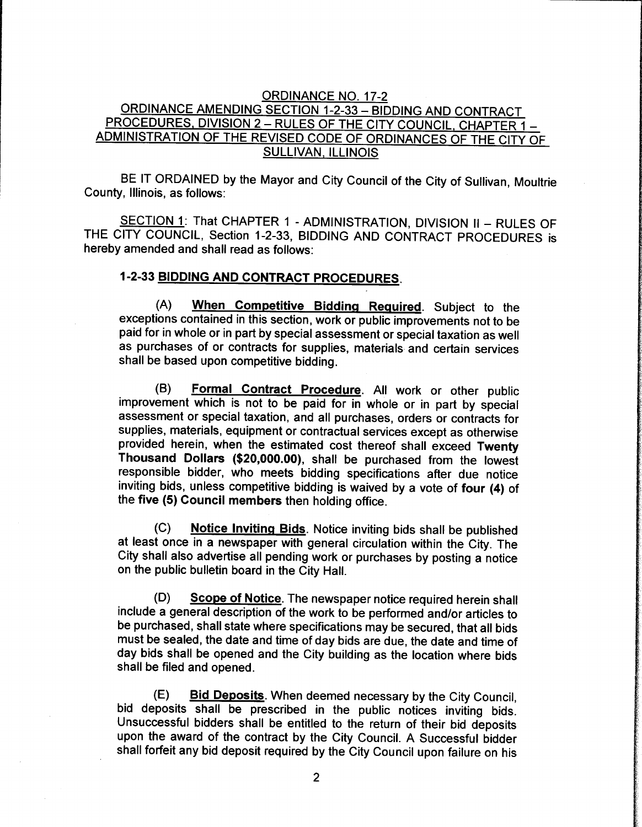### ORDINANCE NO. 17-2 ORDINANCE AMENDING SECTION 1-2-33 - BIDDING AND CONTRACT PROCEDURES, DIVISION 2 - RULES OF THE CITY COUNCIL, CHAPTER 1 -ADMINISTRATION OF THE REVISED CODE OF ORDINANCES OF THE CITY OF SULLIVAN, ILLINOIS

BE IT ORDAINED by the Mayor and City Council of the City of Sullivan, Moultrie County, Illinois, as follows:

SECTION 1: That CHAPTER 1 - ADMINISTRATION, DIVISION II - RULES OF THE CITY COUNCIL, Section 1-2-33, BIDDING AND CONTRACT PROCEDURES is hereby amended and shall read as follows:

# 1-2-33 BIDDING AND CONTRACT PROCEDURES.

A) When Competitive Bidding Required. Subject to the exceptions contained in this section, work or public improvements not to be paid for in whole or in part by special assessment or special taxation as well as purchases of or contracts for supplies, materials and certain services shall be based upon competitive bidding.

B) Formal Contract Procedure. All work or other public improvement which is not to be paid for in whole or in part by special assessment or special taxation, and all purchases, orders or contracts for supplies, materials, equipment or contractual services except as otherwise provided herein, when the estimated cost thereof shall exceed Twenty Thousand Dollars (\$20,000.00), shall be purchased from the lowest responsible bidder, who meets bidding specifications after due notice inviting bids, unless competitive bidding is waived by a vote of four (4) of the five (5) Council members then holding office.

(C) Notice Inviting Bids. Notice inviting bids shall be published at least once in a newspaper with general circulation within the City. The City shall also advertise all pending work or purchases by posting a notice on the public bulletin board in the City Hall.

(D) Scope of Notice. The newspaper notice required herein shall include a general description of the work to be performed and/or articles to be purchased, shall state where specifications may be secured, that all bids must be sealed, the date and time of day bids are due, the date and time of day bids shall be opened and the City building as the location where bids shall be filed and opened.

E) Bid Deposits. When deemed necessary by the City Council, bid deposits shall be prescribed in the public notices inviting bids. Unsuccessful bidders shall be entitled to the return of their bid deposits upon the award of the contract by the City Council. A Successful bidder shall forfeit any bid deposit required by the City Council upon failure on his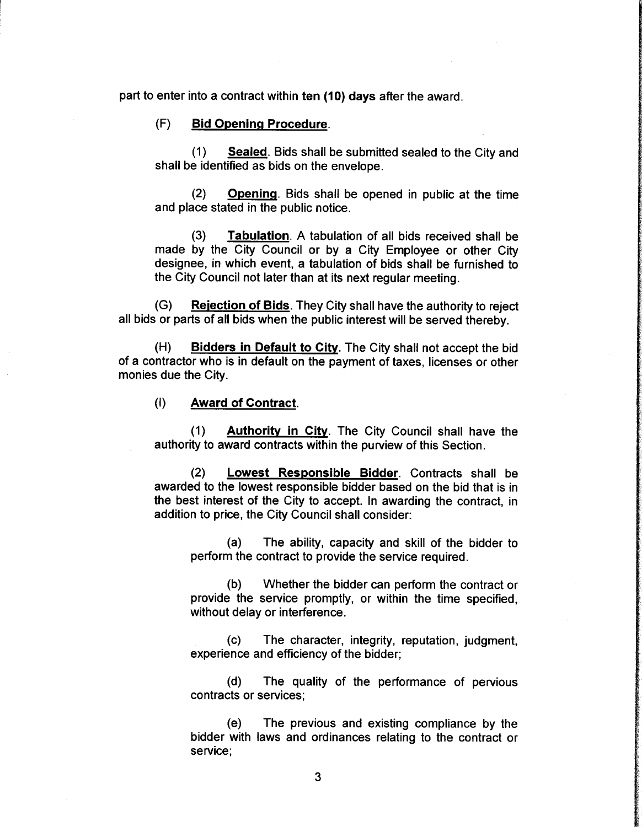part to enter into a contract within ten (10) days after the award.

#### F) Bid Opening Procedure.

1) Sealed. Bids shall be submitted sealed to the City and shall be identified as bids on the envelope.

2) Opening. Bids shall be opened in public at the time and place stated in the public notice.

3) Tabulation. A tabulation of all bids received shall be made by the City Council or by a City Employee or other City designee, in which event, a tabulation of bids shall be furnished to the City Council not later than at its next regular meeting.

(G) Rejection of Bids. They City shall have the authority to reject all bids or parts of all bids when the public interest will be served thereby.

H) Bidders in Default to City. The City shall not accept the bid of a contractor who is in default on the payment of taxes, licenses or other monies due the City.

#### 1) Award of Contract.

1) Authority in City. The City Council shall have the authority to award contracts within the purview of this Section.

2) Lowest Responsible Bidder. Contracts shall be awarded to the lowest responsible bidder based on the bid that is in the best interest of the City to accept. In awarding the contract, in addition to price, the City Council shall consider:

a) The ability, capacity and skill of the bidder to perform the contract to provide the service required.

b) Whether the bidder can perform the contract or provide the service promptly, or within the time specified, without delay or interference.

c) The character, integrity, reputation, judgment, experience and efficiency of the bidder;

d) The quality of the performance of pervious contracts or services;

e) The previous and existing compliance by the bidder with laws and ordinances relating to the contract or service;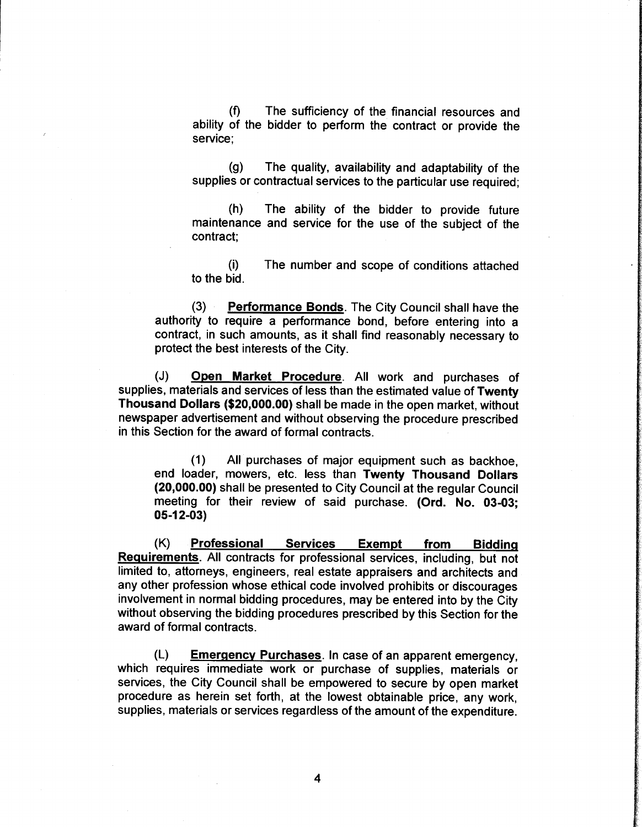f) The sufficiency of the financial resources and ability of the bidder to perform the contract or provide the service;

g) The quality, availability and adaptability of the supplies or contractual services to the particular use required;

h) The ability of the bidder to provide future maintenance and service for the use of the subject of the contract;

i) The number and scope of conditions attached to the bid.

3) Performance Bonds. The City Council shall have the authority to require a performance bond, before entering into a contract, in such amounts, as it shall find reasonably necessary to protect the best interests of the City.

(J) Open Market Procedure. All work and purchases of supplies, materials and services of less than the estimated value of Twenty Thousand Dollars (\$20,000.00) shall be made in the open market, without newspaper advertisement and without observing the procedure prescribed in this Section for the award of formal contracts.

1) All purchases of major equipment such as backhoe, end loader, mowers, etc. less than Twenty Thousand Dollars 20,000.00) shall be presented to City Council at the regular Council meeting for their review of said purchase. (Ord. No. 03-03; 05-12-03)

K) Professional Services Exempt from Bidding Requirements. All contracts for professional services, including, but not limited to, attorneys, engineers, real estate appraisers and architects and any other profession whose ethical code involved prohibits or discourages involvement in normal bidding procedures, may be entered into by the City without observing the bidding procedures prescribed by this Section for the award of formal contracts.

L) Emergency Purchases. In case of an apparent emergency, which requires immediate work or purchase of supplies, materials or services, the City Council shall be empowered to secure by open market procedure as herein set forth, at the lowest obtainable price, any work, supplies, materials or services regardless of the amount of the expenditure.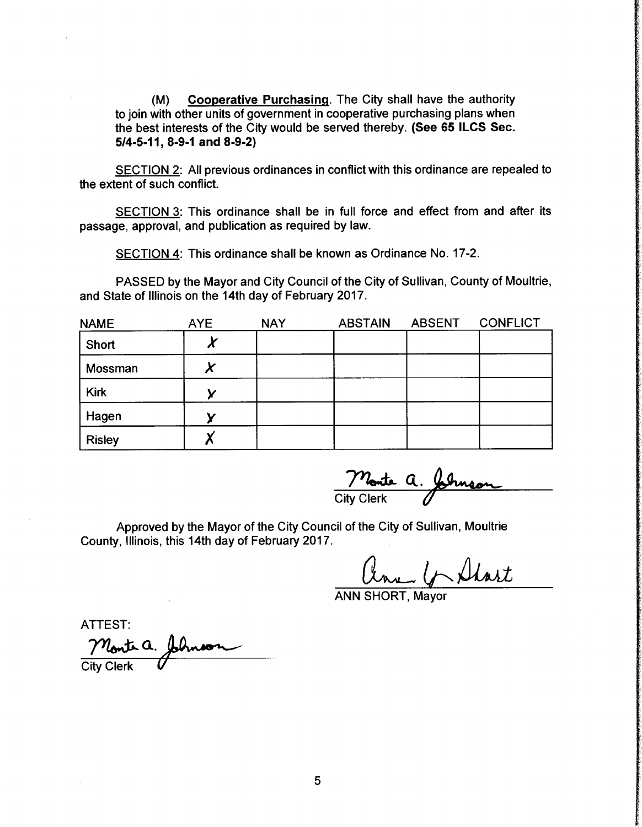M) Cooperative Purchasing. The City shall have the authority to join with other units of government in cooperative purchasing plans when the best interests of the City would be served thereby. (See 65 ILCS Sec. 5/4-5-11, 8-9-1 and 8-9-2)

SECTION 2: All previous ordinances in conflict with this ordinance are repealed to the extent of such conflict.

SECTION 3: This ordinance shall be in full force and effect from and after its passage, approval, and publication as required by law.

SECTION 4: This ordinance shall be known as Ordinance No. 17-2.

PASSED by the Mayor and City Council of the City of Sullivan, County of Moultrie, and State of Illinois on the 14th day of February 2017.

| <b>NAME</b>   | <b>AYE</b> | <b>NAY</b> | <b>ABSTAIN</b> | <b>ABSENT</b> | <b>CONFLICT</b> |
|---------------|------------|------------|----------------|---------------|-----------------|
| Short         |            |            |                |               |                 |
| Mossman       |            |            |                |               |                 |
| <b>Kirk</b>   |            |            |                |               |                 |
| Hagen         |            |            |                |               |                 |
| <b>Risley</b> |            |            |                |               |                 |

 $\frac{m_{\text{out}}}{m_{\text{out}}}$  a.

Approved by the Mayor of the City Council of the City of Sullivan, Moultrie County, Illinois, this 14th day of February 2017.

 $\frac{1}{2^{2}+1}$ 

ANN SHORT, Mayor

ATTEST: Monte a. **City Clerk**